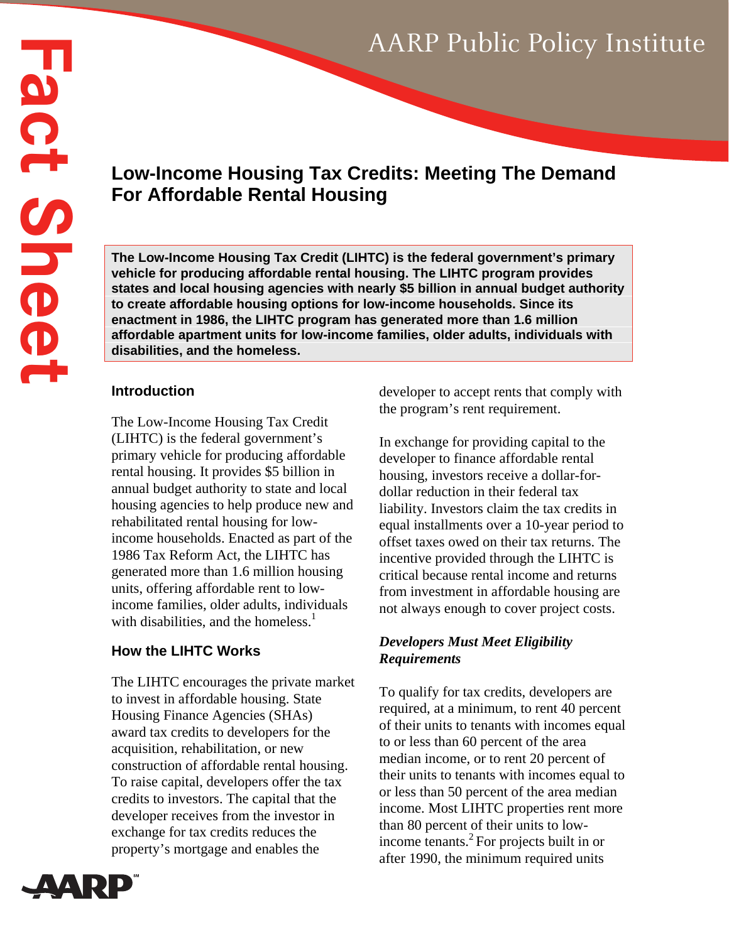# **Low-Income Housing Tax Credits: Meeting The Demand For Affordable Rental Housing**

**The Low-Income Housing Tax Credit (LIHTC) is the federal government's primary vehicle for producing affordable rental housing. The LIHTC program provides states and local housing agencies with nearly \$5 billion in annual budget authority to create affordable housing options for low-income households. Since its enactment in 1986, the LIHTC program has generated more than 1.6 million affordable apartment units for low-income families, older adults, individuals with disabilities, and the homeless.** 

#### **Introduction**

The Low-Income Housing Tax Credit (LIHTC) is the federal government's primary vehicle for producing affordable rental housing. It provides \$5 billion in annual budget authority to state and local housing agencies to help produce new and rehabilitated rental housing for lowincome households. Enacted as part of the 1986 Tax Reform Act, the LIHTC has generated more than 1.6 million housing units, offering affordable rent to lowincome families, older adults, individuals with disabilities, and the homeless. $<sup>1</sup>$ </sup>

# **How the LIHTC Works**

The LIHTC encourages the private market to invest in affordable housing. State Housing Finance Agencies (SHAs) award tax credits to developers for the acquisition, rehabilitation, or new construction of affordable rental housing. To raise capital, developers offer the tax credits to investors. The capital that the developer receives from the investor in exchange for tax credits reduces the property's mortgage and enables the



developer to accept rents that comply with the program's rent requirement.

In exchange for providing capital to the developer to finance affordable rental housing, investors receive a dollar-fordollar reduction in their federal tax liability. Investors claim the tax credits in equal installments over a 10-year period to offset taxes owed on their tax returns. The incentive provided through the LIHTC is critical because rental income and returns from investment in affordable housing are not always enough to cover project costs.

## *Developers Must Meet Eligibility Requirements*

To qualify for tax credits, developers are required, at a minimum, to rent 40 percent of their units to tenants with incomes equal to or less than 60 percent of the area median income, or to rent 20 percent of their units to tenants with incomes equal to or less than 50 percent of the area median income. Most LIHTC properties rent more than 80 percent of their units to lowincome tenants.2 For projects built in or after 1990, the minimum required units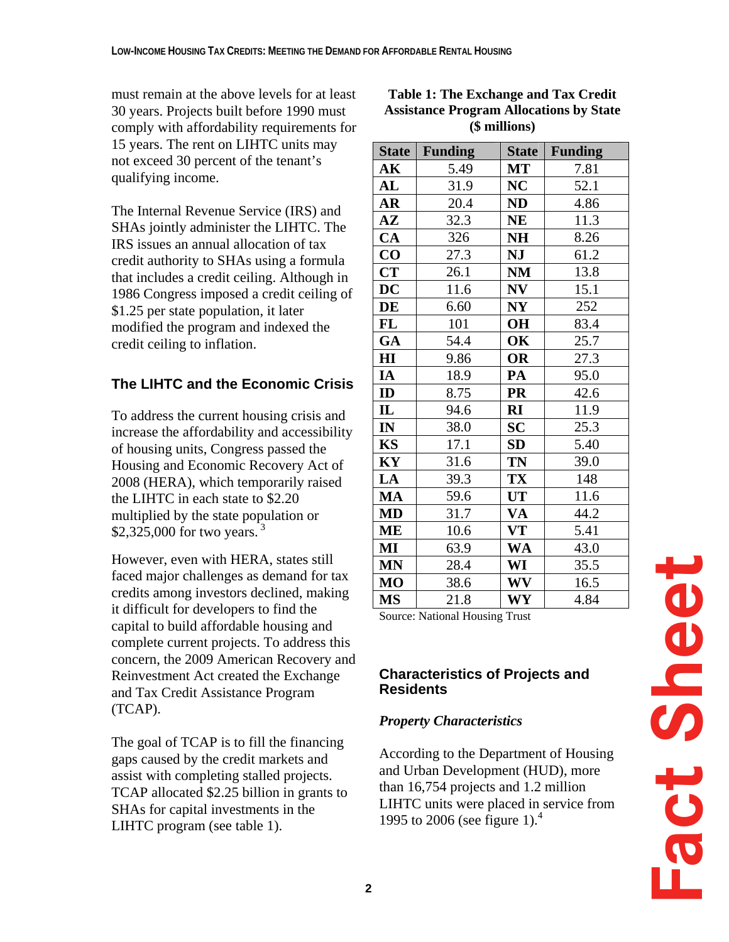must remain at the above levels for at least 30 years. Projects built before 1990 must comply with affordability requirements for 15 years. The rent on LIHTC units may not exceed 30 percent of the tenant's qualifying income.

The Internal Revenue Service (IRS) and SHAs jointly administer the LIHTC. The IRS issues an annual allocation of tax credit authority to SHAs using a formula that includes a credit ceiling. Although in 1986 Congress imposed a credit ceiling of \$1.25 per state population, it later modified the program and indexed the credit ceiling to inflation.

#### **The LIHTC and the Economic Crisis**

To address the current housing crisis and increase the affordability and accessibility of housing units, Congress passed the Housing and Economic Recovery Act of 2008 (HERA), which temporarily raised the LIHTC in each state to \$2.20 multiplied by the state population or \$2,325,000 for two years.<sup>3</sup>

However, even with HERA, states still faced major challenges as demand for tax credits among investors declined, making it difficult for developers to find the capital to build affordable housing and complete current projects. To address this concern, the 2009 American Recovery and Reinvestment Act created the Exchange and Tax Credit Assistance Program (TCAP).

The goal of TCAP is to fill the financing gaps caused by the credit markets and assist with completing stalled projects. TCAP allocated \$2.25 billion in grants to SHAs for capital investments in the LIHTC program (see table 1).

| <b>Table 1: The Exchange and Tax Credit</b>    |
|------------------------------------------------|
| <b>Assistance Program Allocations by State</b> |
| (\$ millions)                                  |

| <b>State</b> | <b>Funding</b> | <b>State</b>   | <b>Funding</b> |
|--------------|----------------|----------------|----------------|
| AK           | 5.49           | МT             | 7.81           |
| AL           | 31.9           | NC             | 52.1           |
| <b>AR</b>    | 20.4           | ND             | 4.86           |
| ${\bf AZ}$   | 32.3           | <b>NE</b>      | 11.3           |
| CA           | 326            | <b>NH</b>      | 8.26           |
| $\bf CO$     | 27.3           | NJ             | 61.2           |
| <b>CT</b>    | 26.1           | NM             | 13.8           |
| DC           | 11.6           | NV             | 15.1           |
| DE           | 6.60           | N <sub>Y</sub> | 252            |
| FL           | 101            | <b>OH</b>      | 83.4           |
| GA           | 54.4           | OK             | 25.7           |
| $\mathbf{H}$ | 9.86           | OR             | 27.3           |
| IA           | 18.9           | PA             | 95.0           |
| ID           | 8.75           | <b>PR</b>      | 42.6           |
| IL           | 94.6           | $\mathbf{R}$   | 11.9           |
| IN           | 38.0           | <b>SC</b>      | 25.3           |
| <b>KS</b>    | 17.1           | SD             | 5.40           |
| KY           | 31.6           | <b>TN</b>      | 39.0           |
| LA           | 39.3           | TX             | 148            |
| MA           | 59.6           | <b>UT</b>      | 11.6           |
| MD           | 31.7           | VA             | 44.2           |
| ME           | 10.6           | <b>VT</b>      | 5.41           |
| MI           | 63.9           | <b>WA</b>      | 43.0           |
| <b>MN</b>    | 28.4           | WI             | 35.5           |
| <b>MO</b>    | 38.6           | <b>WV</b>      | 16.5           |
| <b>MS</b>    | 21.8           | WY             | 4.84           |

Source: National Housing Trust

#### **Characteristics of Projects and Residents**

#### *Property Characteristics*

According to the Department of Housing and Urban Development (HUD), more than 16,754 projects and 1.2 million LIHTC units were placed in service from 1995 to 2006 (see figure 1).<sup>4</sup>

**Fact Sheet** Fact Sheet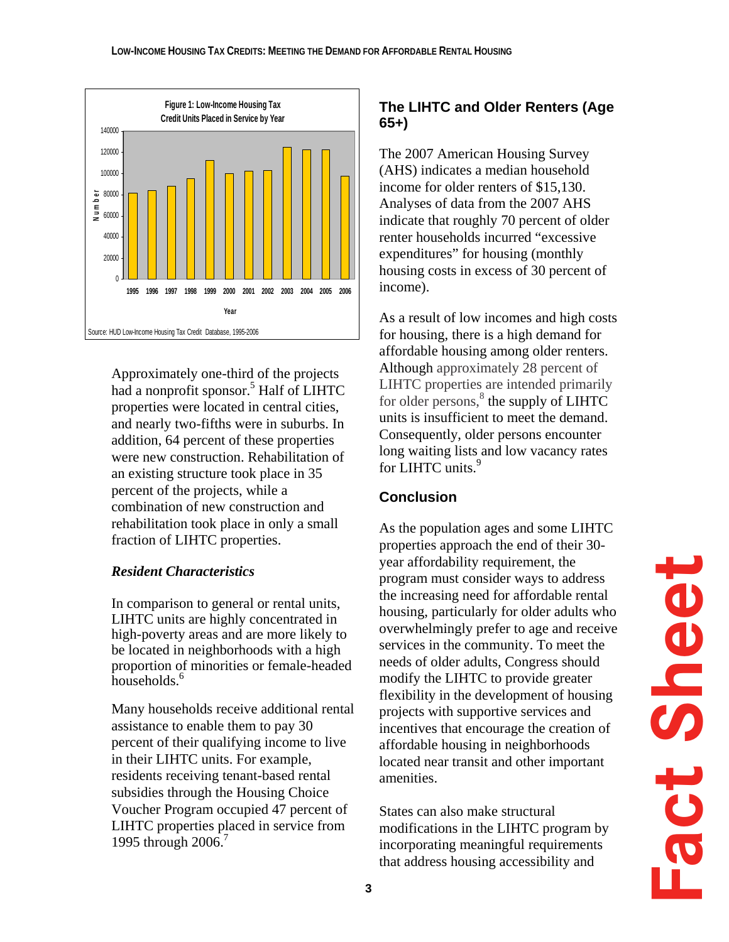

Approximately one-third of the projects had a nonprofit sponsor.<sup>5</sup> Half of LIHTC properties were located in central cities, and nearly two-fifths were in suburbs. In addition, 64 percent of these properties were new construction. Rehabilitation of an existing structure took place in 35 percent of the projects, while a combination of new construction and rehabilitation took place in only a small fraction of LIHTC properties.

## *Resident Characteristics*

In comparison to general or rental units, LIHTC units are highly concentrated in high-poverty areas and are more likely to be located in neighborhoods with a high proportion of minorities or female-headed households.<sup>6</sup>

Many households receive additional rental assistance to enable them to pay 30 percent of their qualifying income to live in their LIHTC units. For example, residents receiving tenant-based rental subsidies through the Housing Choice Voucher Program occupied 47 percent of LIHTC properties placed in service from 1995 through 2006.<sup>7</sup>

## **The LIHTC and Older Renters (Age 65+)**

The 2007 American Housing Survey (AHS) indicates a median household income for older renters of \$15,130. Analyses of data from the 2007 AHS indicate that roughly 70 percent of older renter households incurred "excessive expenditures" for housing (monthly housing costs in excess of 30 percent of income).

As a result of low incomes and high costs for housing, there is a high demand for affordable housing among older renters. Although approximately 28 percent of LIHTC properties are intended primarily for older persons, $\frac{8}{3}$  the supply of LIHTC units is insufficient to meet the demand. Consequently, older persons encounter long waiting lists and low vacancy rates for LIHTC units.<sup>9</sup>

# **Conclusion**

As the population ages and some LIHTC properties approach the end of their 30 year affordability requirement, the program must consider ways to address the increasing need for affordable rental housing, particularly for older adults who overwhelmingly prefer to age and receive services in the community. To meet the needs of older adults, Congress should modify the LIHTC to provide greater flexibility in the development of housing projects with supportive services and incentives that encourage the creation of affordable housing in neighborhoods located near transit and other important amenities.

States can also make structural modifications in the LIHTC program by incorporating meaningful requirements that address housing accessibility and